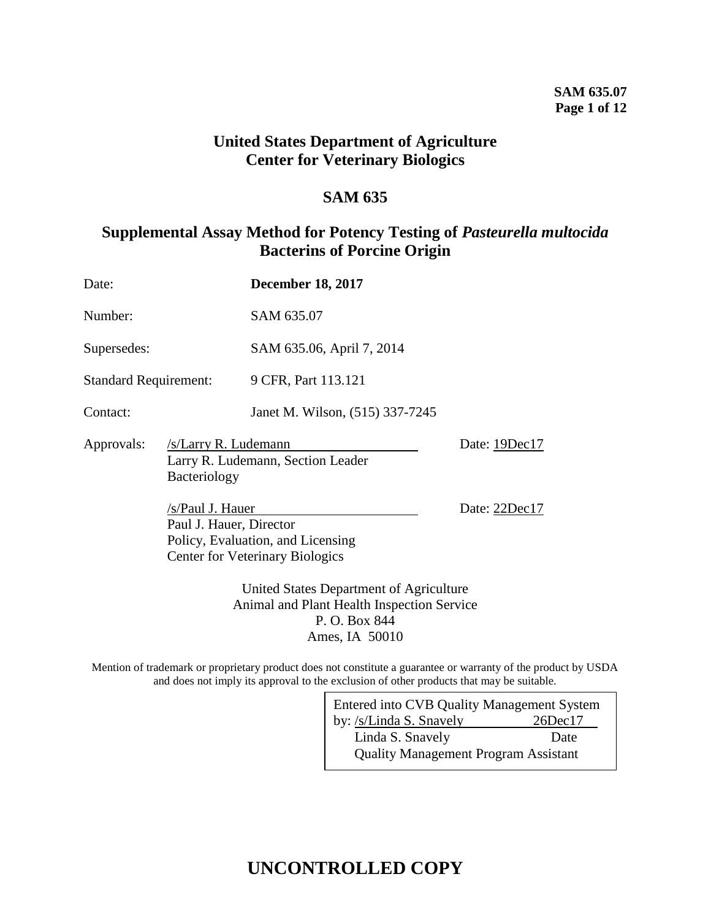## **United States Department of Agriculture Center for Veterinary Biologics**

## **SAM 635**

## **Supplemental Assay Method for Potency Testing of** *Pasteurella multocida* **Bacterins of Porcine Origin**

| Date:                        |                                                                                                                                                                                                    | <b>December 18, 2017</b>        |               |  |
|------------------------------|----------------------------------------------------------------------------------------------------------------------------------------------------------------------------------------------------|---------------------------------|---------------|--|
| Number:                      |                                                                                                                                                                                                    | SAM 635.07                      |               |  |
| Supersedes:                  |                                                                                                                                                                                                    | SAM 635.06, April 7, 2014       |               |  |
| <b>Standard Requirement:</b> |                                                                                                                                                                                                    | 9 CFR, Part 113.121             |               |  |
| Contact:                     |                                                                                                                                                                                                    | Janet M. Wilson, (515) 337-7245 |               |  |
| Approvals:                   | /s/Larry R. Ludemann<br>Larry R. Ludemann, Section Leader<br>Bacteriology                                                                                                                          |                                 | Date: 19Dec17 |  |
|                              | /s/Paul J. Hauer<br>Paul J. Hauer, Director<br>Policy, Evaluation, and Licensing<br><b>Center for Veterinary Biologics</b>                                                                         |                                 | Date: 22Dec17 |  |
|                              | United States Department of Agriculture<br>$\lambda$ and $\lambda$ and $\lambda$ and $\lambda$ is the solution of $\lambda$ and $\lambda$ and $\lambda$ is the solution of $\lambda$ and $\lambda$ |                                 |               |  |

Animal and Plant Health Inspection Service P. O. Box 844 Ames, IA 50010

Mention of trademark or proprietary product does not constitute a guarantee or warranty of the product by USDA and does not imply its approval to the exclusion of other products that may be suitable.

| Entered into CVB Quality Management System  |               |  |  |
|---------------------------------------------|---------------|--|--|
| by: /s/Linda S. Snavely                     | $26$ Dec $17$ |  |  |
| Linda S. Snavely                            | Date          |  |  |
| <b>Quality Management Program Assistant</b> |               |  |  |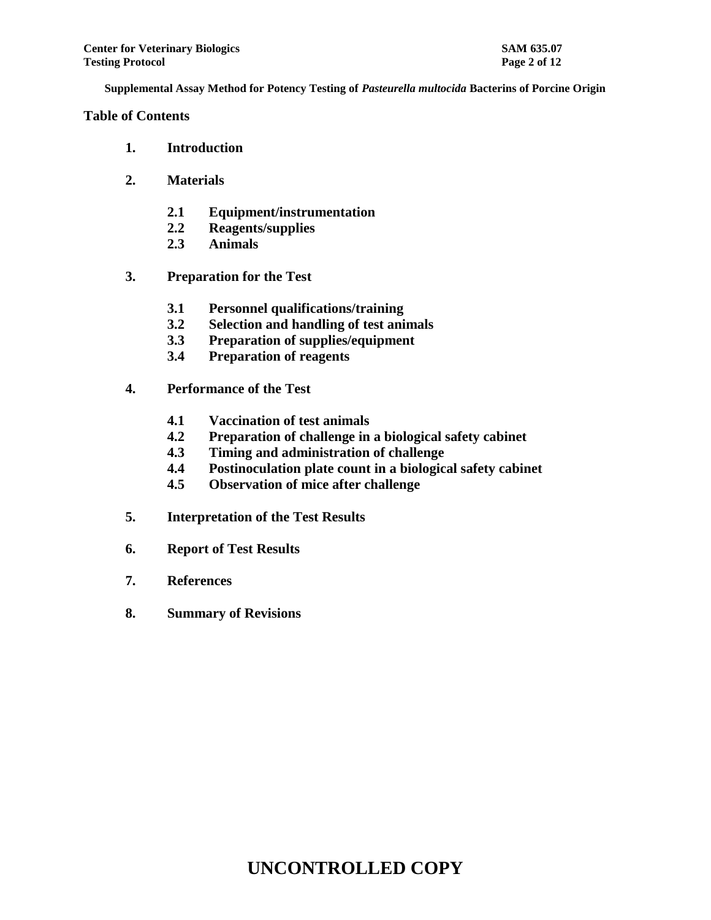#### **Table of Contents**

- **1. Introduction**
- **2. Materials**
	- **2.1 Equipment/instrumentation**
	- **2.2 Reagents/supplies**
	- **2.3 Animals**
- **3. Preparation for the Test**
	- **3.1 Personnel qualifications/training**
	- **3.2 Selection and handling of test animals**
	- **3.3 Preparation of supplies/equipment**
	- **3.4 Preparation of reagents**
- **4. Performance of the Test**
	- **4.1 Vaccination of test animals**
	- **4.2 Preparation of challenge in a biological safety cabinet**
	- **4.3 Timing and administration of challenge**
	- **4.4 Postinoculation plate count in a biological safety cabinet**
	- **4.5 Observation of mice after challenge**
- **5. Interpretation of the Test Results**
- **6. Report of Test Results**
- **7. References**
- **8. Summary of Revisions**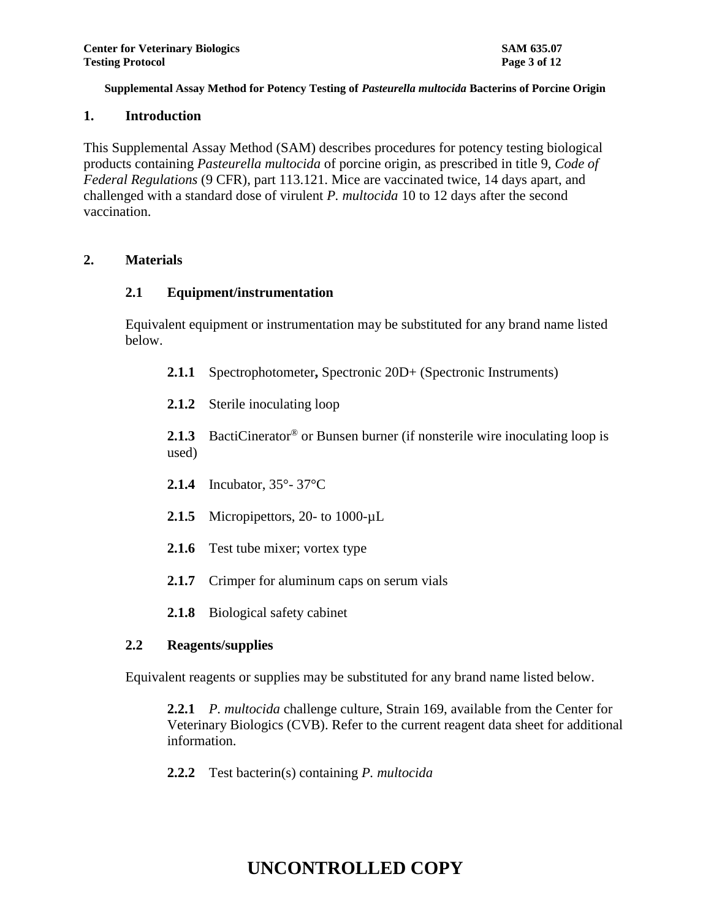## **1. Introduction**

This Supplemental Assay Method (SAM) describes procedures for potency testing biological products containing *Pasteurella multocida* of porcine origin, as prescribed in title 9, *Code of Federal Regulations* (9 CFR), part 113.121. Mice are vaccinated twice, 14 days apart, and challenged with a standard dose of virulent *P. multocida* 10 to 12 days after the second vaccination.

## **2. Materials**

#### **2.1 Equipment/instrumentation**

Equivalent equipment or instrumentation may be substituted for any brand name listed below.

- **2.1.1** Spectrophotometer**,** Spectronic 20D+ (Spectronic Instruments)
- **2.1.2** Sterile inoculating loop

**2.1.3** BactiCinerator<sup>®</sup> or Bunsen burner (if nonsterile wire inoculating loop is used)

- **2.1.4** Incubator, 35°- 37°C
- **2.1.5** Micropipettors, 20- to 1000- $\mu$ L
- **2.1.6** Test tube mixer; vortex type
- **2.1.7** Crimper for aluminum caps on serum vials
- **2.1.8** Biological safety cabinet

## **2.2 Reagents/supplies**

Equivalent reagents or supplies may be substituted for any brand name listed below.

**2.2.1** *P. multocida* challenge culture, Strain 169, available from the Center for Veterinary Biologics (CVB). Refer to the current reagent data sheet for additional information.

**2.2.2** Test bacterin(s) containing *P. multocida*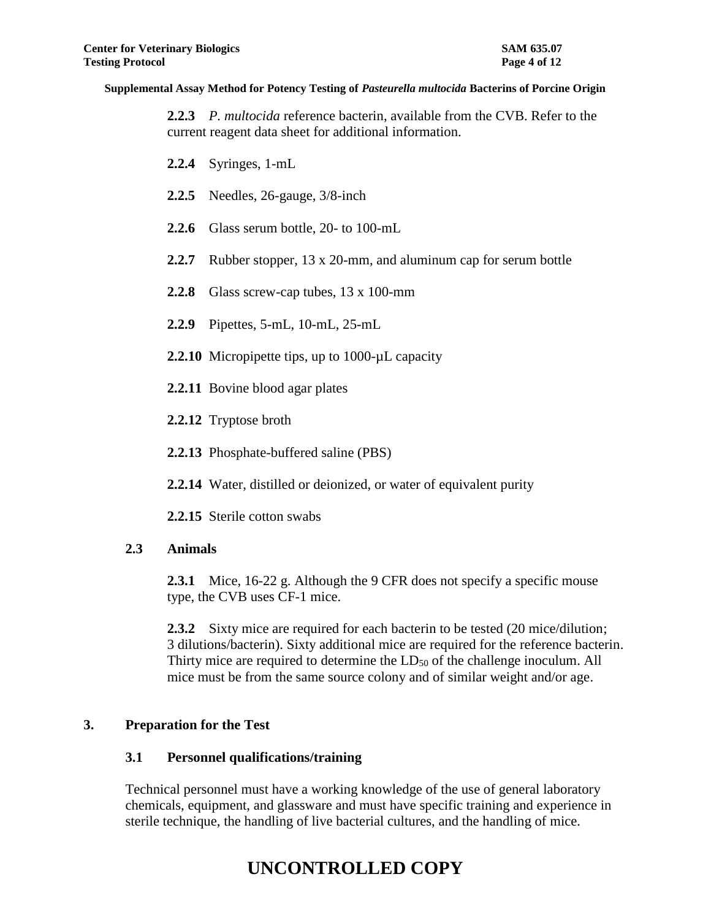**2.2.3** *P. multocida* reference bacterin, available from the CVB. Refer to the current reagent data sheet for additional information.

- **2.2.4** Syringes, 1-mL
- **2.2.5** Needles, 26-gauge, 3/8-inch
- **2.2.6** Glass serum bottle, 20- to 100-mL
- **2.2.7** Rubber stopper, 13 x 20-mm, and aluminum cap for serum bottle
- **2.2.8** Glass screw-cap tubes, 13 x 100-mm
- **2.2.9** Pipettes, 5-mL, 10-mL, 25-mL
- **2.2.10** Micropipette tips, up to 1000-µL capacity
- **2.2.11** Bovine blood agar plates
- **2.2.12** Tryptose broth
- **2.2.13** Phosphate-buffered saline (PBS)
- **2.2.14** Water, distilled or deionized, or water of equivalent purity
- **2.2.15** Sterile cotton swabs

## **2.3 Animals**

**2.3.1** Mice, 16-22 g. Although the 9 CFR does not specify a specific mouse type, the CVB uses CF-1 mice.

**2.3.2** Sixty mice are required for each bacterin to be tested (20 mice/dilution; 3 dilutions/bacterin). Sixty additional mice are required for the reference bacterin. Thirty mice are required to determine the LD<sub>50</sub> of the challenge inoculum. All mice must be from the same source colony and of similar weight and/or age.

## **3. Preparation for the Test**

## **3.1 Personnel qualifications/training**

Technical personnel must have a working knowledge of the use of general laboratory chemicals, equipment, and glassware and must have specific training and experience in sterile technique, the handling of live bacterial cultures, and the handling of mice.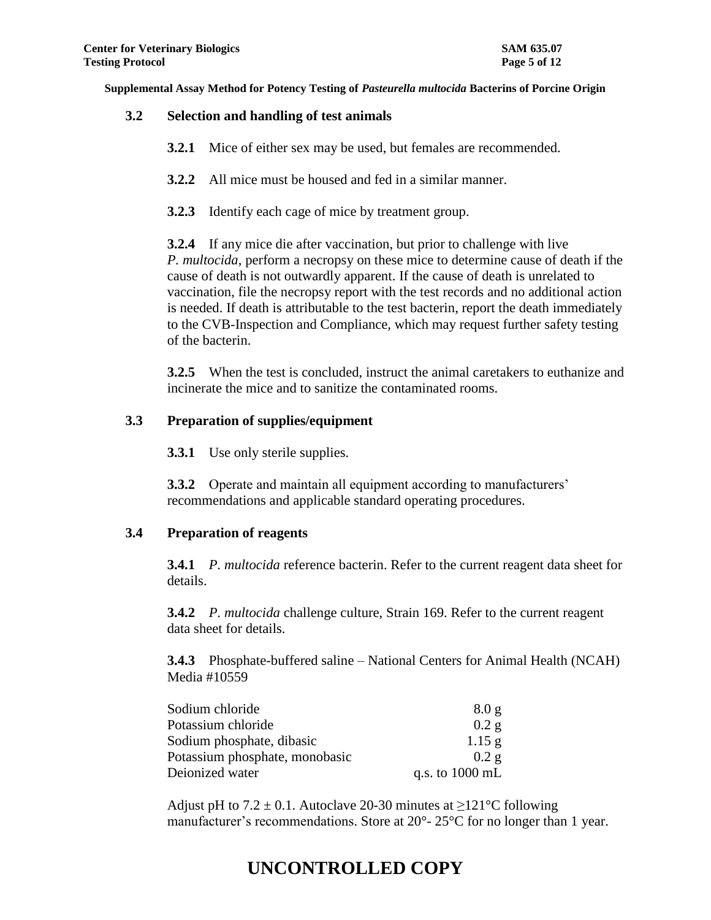#### **3.2 Selection and handling of test animals**

- **3.2.1** Mice of either sex may be used, but females are recommended.
- **3.2.2** All mice must be housed and fed in a similar manner.
- **3.2.3** Identify each cage of mice by treatment group.

**3.2.4** If any mice die after vaccination, but prior to challenge with live *P. multocida*, perform a necropsy on these mice to determine cause of death if the cause of death is not outwardly apparent. If the cause of death is unrelated to vaccination, file the necropsy report with the test records and no additional action is needed. If death is attributable to the test bacterin, report the death immediately to the CVB-Inspection and Compliance, which may request further safety testing of the bacterin.

**3.2.5** When the test is concluded, instruct the animal caretakers to euthanize and incinerate the mice and to sanitize the contaminated rooms.

## **3.3 Preparation of supplies/equipment**

**3.3.1** Use only sterile supplies.

**3.3.2** Operate and maintain all equipment according to manufacturers' recommendations and applicable standard operating procedures.

## **3.4 Preparation of reagents**

**3.4.1** *P. multocida* reference bacterin. Refer to the current reagent data sheet for details.

**3.4.2** *P. multocida* challenge culture, Strain 169. Refer to the current reagent data sheet for details.

**3.4.3** Phosphate-buffered saline – National Centers for Animal Health (NCAH) Media #10559

| Sodium chloride                | 8.0 g                     |
|--------------------------------|---------------------------|
| Potassium chloride             | 0.2 g                     |
| Sodium phosphate, dibasic      | $1.15$ g                  |
| Potassium phosphate, monobasic | 0.2 g                     |
| Deionized water                | q.s. to $1000 \text{ mL}$ |

Adjust pH to  $7.2 \pm 0.1$ . Autoclave 20-30 minutes at  $\geq 121^{\circ}$ C following manufacturer's recommendations. Store at 20°- 25°C for no longer than 1 year.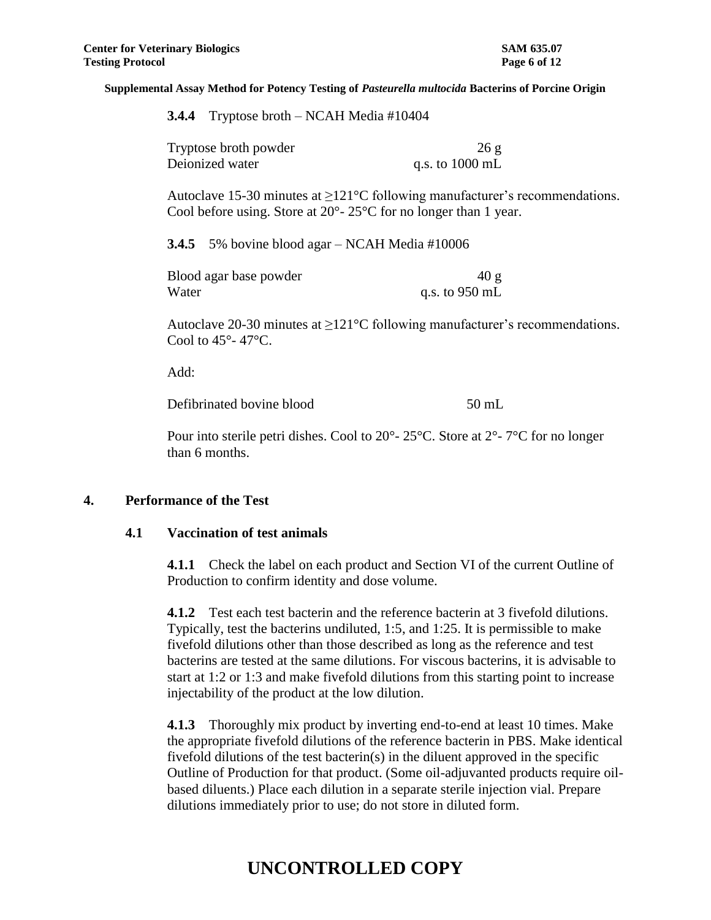| 3.4.4 | Tryptose broth $-$ NCAH Media #10404 |  |  |  |  |
|-------|--------------------------------------|--|--|--|--|
|-------|--------------------------------------|--|--|--|--|

| Tryptose broth powder | 26 g                      |
|-----------------------|---------------------------|
| Deionized water       | q.s. to $1000 \text{ mL}$ |

Autoclave 15-30 minutes at  $\geq$ 121°C following manufacturer's recommendations. Cool before using. Store at 20°- 25°C for no longer than 1 year.

**3.4.5** 5% bovine blood agar – NCAH Media #10006

| Blood agar base powder | 40 g           |
|------------------------|----------------|
| Water                  | q.s. to 950 mL |

Autoclave 20-30 minutes at  $\geq 121^{\circ}$ C following manufacturer's recommendations. Cool to  $45^\circ$ -  $47^\circ$ C.

Add:

Defibrinated bovine blood 50 mL

Pour into sterile petri dishes. Cool to  $20^{\circ}$ -  $25^{\circ}$ C. Store at  $2^{\circ}$ -  $7^{\circ}$ C for no longer than 6 months.

#### **4. Performance of the Test**

#### **4.1 Vaccination of test animals**

**4.1.1** Check the label on each product and Section VI of the current Outline of Production to confirm identity and dose volume.

**4.1.2** Test each test bacterin and the reference bacterin at 3 fivefold dilutions. Typically, test the bacterins undiluted, 1:5, and 1:25. It is permissible to make fivefold dilutions other than those described as long as the reference and test bacterins are tested at the same dilutions. For viscous bacterins, it is advisable to start at 1:2 or 1:3 and make fivefold dilutions from this starting point to increase injectability of the product at the low dilution.

**4.1.3** Thoroughly mix product by inverting end-to-end at least 10 times. Make the appropriate fivefold dilutions of the reference bacterin in PBS. Make identical fivefold dilutions of the test bacterin(s) in the diluent approved in the specific Outline of Production for that product. (Some oil-adjuvanted products require oilbased diluents.) Place each dilution in a separate sterile injection vial. Prepare dilutions immediately prior to use; do not store in diluted form.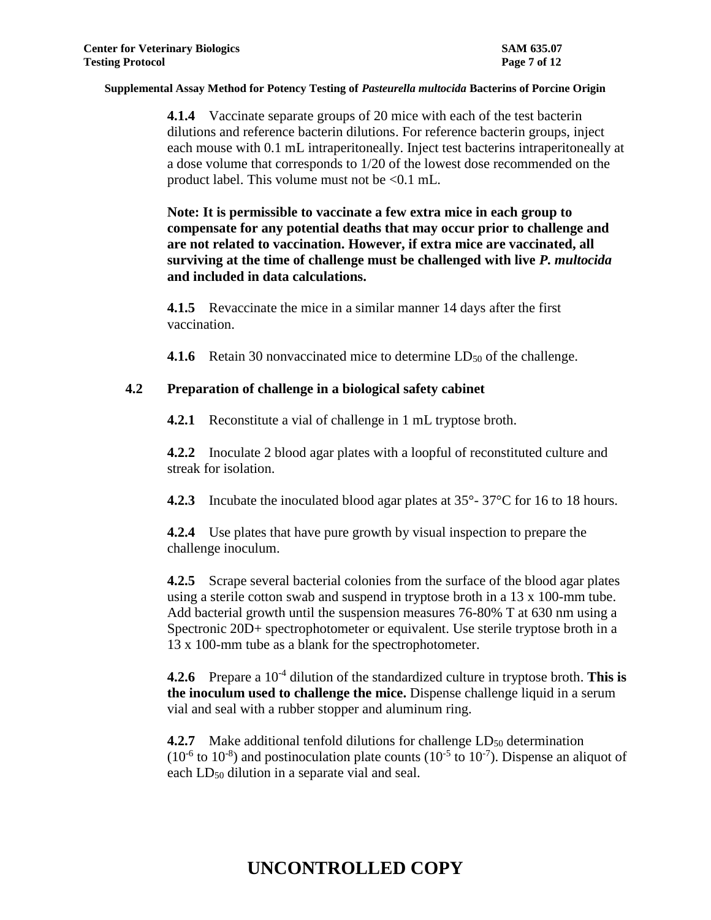**4.1.4** Vaccinate separate groups of 20 mice with each of the test bacterin dilutions and reference bacterin dilutions. For reference bacterin groups, inject each mouse with 0.1 mL intraperitoneally. Inject test bacterins intraperitoneally at a dose volume that corresponds to 1/20 of the lowest dose recommended on the product label. This volume must not be <0.1 mL.

**Note: It is permissible to vaccinate a few extra mice in each group to compensate for any potential deaths that may occur prior to challenge and are not related to vaccination. However, if extra mice are vaccinated, all surviving at the time of challenge must be challenged with live** *P. multocida* **and included in data calculations.**

**4.1.5** Revaccinate the mice in a similar manner 14 days after the first vaccination.

**4.1.6** Retain 30 nonvaccinated mice to determine LD<sub>50</sub> of the challenge.

## **4.2 Preparation of challenge in a biological safety cabinet**

**4.2.1** Reconstitute a vial of challenge in 1 mL tryptose broth.

**4.2.2** Inoculate 2 blood agar plates with a loopful of reconstituted culture and streak for isolation.

**4.2.3** Incubate the inoculated blood agar plates at 35°- 37°C for 16 to 18 hours.

**4.2.4** Use plates that have pure growth by visual inspection to prepare the challenge inoculum.

**4.2.5** Scrape several bacterial colonies from the surface of the blood agar plates using a sterile cotton swab and suspend in tryptose broth in a 13 x 100-mm tube. Add bacterial growth until the suspension measures 76-80% T at 630 nm using a Spectronic 20D+ spectrophotometer or equivalent. Use sterile tryptose broth in a 13 x 100-mm tube as a blank for the spectrophotometer.

**4.2.6** Prepare a 10-4 dilution of the standardized culture in tryptose broth. **This is the inoculum used to challenge the mice.** Dispense challenge liquid in a serum vial and seal with a rubber stopper and aluminum ring.

**4.2.7** Make additional tenfold dilutions for challenge LD<sub>50</sub> determination  $(10^{-6}$  to  $10^{-8}$ ) and postinoculation plate counts  $(10^{-5}$  to  $10^{-7})$ . Dispense an aliquot of each  $LD_{50}$  dilution in a separate vial and seal.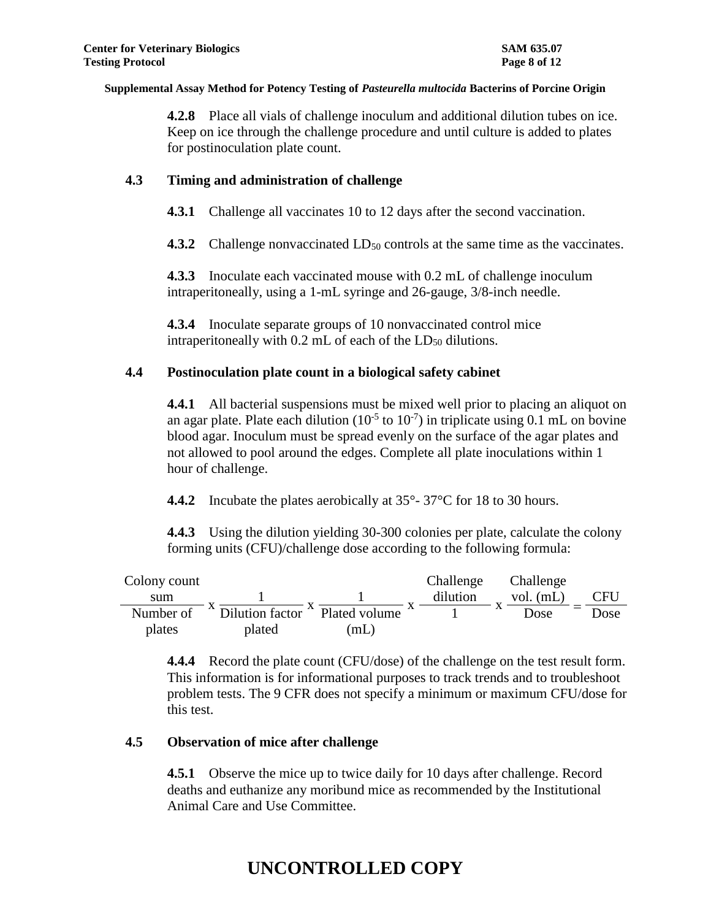**4.2.8** Place all vials of challenge inoculum and additional dilution tubes on ice. Keep on ice through the challenge procedure and until culture is added to plates for postinoculation plate count.

## **4.3 Timing and administration of challenge**

**4.3.1** Challenge all vaccinates 10 to 12 days after the second vaccination.

**4.3.2** Challenge nonvaccinated LD<sub>50</sub> controls at the same time as the vaccinates.

**4.3.3** Inoculate each vaccinated mouse with 0.2 mL of challenge inoculum intraperitoneally, using a 1-mL syringe and 26-gauge, 3/8-inch needle.

**4.3.4** Inoculate separate groups of 10 nonvaccinated control mice intraperitoneally with  $0.2$  mL of each of the  $LD_{50}$  dilutions.

### **4.4 Postinoculation plate count in a biological safety cabinet**

**4.4.1** All bacterial suspensions must be mixed well prior to placing an aliquot on an agar plate. Plate each dilution  $(10^{-5}$  to  $10^{-7})$  in triplicate using 0.1 mL on bovine blood agar. Inoculum must be spread evenly on the surface of the agar plates and not allowed to pool around the edges. Complete all plate inoculations within 1 hour of challenge.

**4.4.2** Incubate the plates aerobically at 35°-37°C for 18 to 30 hours.

**4.4.3** Using the dilution yielding 30-300 colonies per plate, calculate the colony forming units (CFU)/challenge dose according to the following formula:

| Colony count |                                           |    | Challenge | Challenge   |      |
|--------------|-------------------------------------------|----|-----------|-------------|------|
| sum          |                                           |    | dilution  | vol. $(mL)$ | CFU  |
| Number of    | Dilution factor $\triangle$ Plated volume |    |           | Dose        | Dose |
| plates       | plated                                    | mL |           |             |      |

**4.4.4** Record the plate count (CFU/dose) of the challenge on the test result form. This information is for informational purposes to track trends and to troubleshoot problem tests. The 9 CFR does not specify a minimum or maximum CFU/dose for this test.

## **4.5 Observation of mice after challenge**

**4.5.1** Observe the mice up to twice daily for 10 days after challenge. Record deaths and euthanize any moribund mice as recommended by the Institutional Animal Care and Use Committee.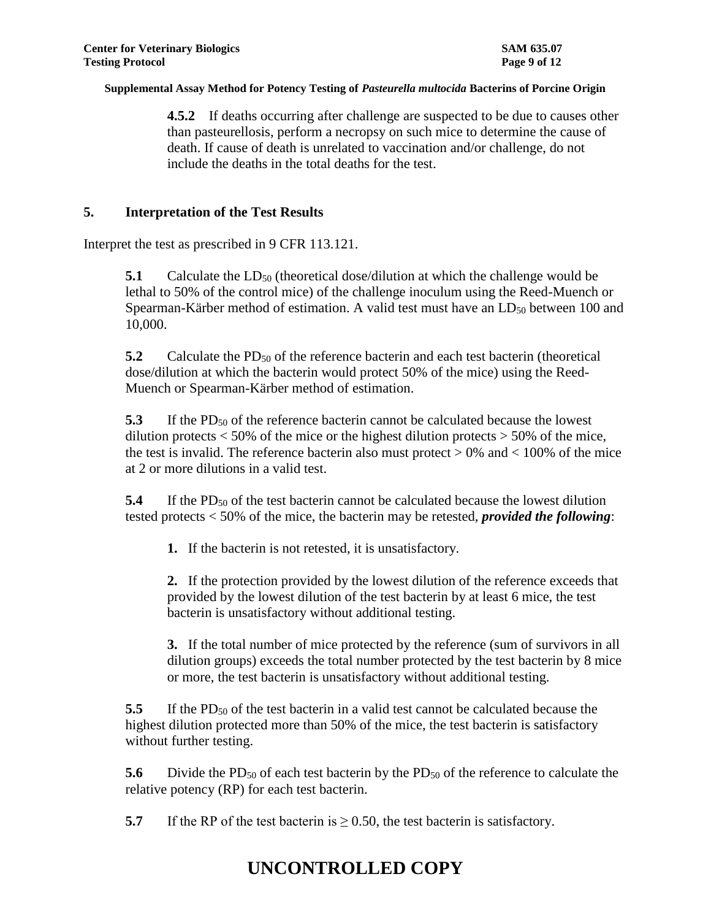**4.5.2** If deaths occurring after challenge are suspected to be due to causes other than pasteurellosis, perform a necropsy on such mice to determine the cause of death. If cause of death is unrelated to vaccination and/or challenge, do not include the deaths in the total deaths for the test.

#### **5. Interpretation of the Test Results**

Interpret the test as prescribed in 9 CFR 113.121.

**5.1** Calculate the  $LD_{50}$  (theoretical dose/dilution at which the challenge would be lethal to 50% of the control mice) of the challenge inoculum using the Reed-Muench or Spearman-Kärber method of estimation. A valid test must have an  $LD_{50}$  between 100 and 10,000.

**5.2** Calculate the PD<sub>50</sub> of the reference bacterin and each test bacterin (theoretical dose/dilution at which the bacterin would protect 50% of the mice) using the Reed-Muench or Spearman-Kärber method of estimation.

**5.3** If the PD<sub>50</sub> of the reference bacterin cannot be calculated because the lowest dilution protects  $\lt 50\%$  of the mice or the highest dilution protects  $> 50\%$  of the mice, the test is invalid. The reference bacterin also must protect  $> 0\%$  and  $< 100\%$  of the mice at 2 or more dilutions in a valid test.

**5.4** If the PD<sub>50</sub> of the test bacterin cannot be calculated because the lowest dilution tested protects < 50% of the mice, the bacterin may be retested, *provided the following*:

**1.** If the bacterin is not retested, it is unsatisfactory.

**2.** If the protection provided by the lowest dilution of the reference exceeds that provided by the lowest dilution of the test bacterin by at least 6 mice, the test bacterin is unsatisfactory without additional testing.

**3.** If the total number of mice protected by the reference (sum of survivors in all dilution groups) exceeds the total number protected by the test bacterin by 8 mice or more, the test bacterin is unsatisfactory without additional testing.

**5.5** If the PD<sub>50</sub> of the test bacterin in a valid test cannot be calculated because the highest dilution protected more than 50% of the mice, the test bacterin is satisfactory without further testing.

**5.6** Divide the PD<sub>50</sub> of each test bacterin by the PD<sub>50</sub> of the reference to calculate the relative potency (RP) for each test bacterin.

**5.7** If the RP of the test bacterin is  $\geq$  0.50, the test bacterin is satisfactory.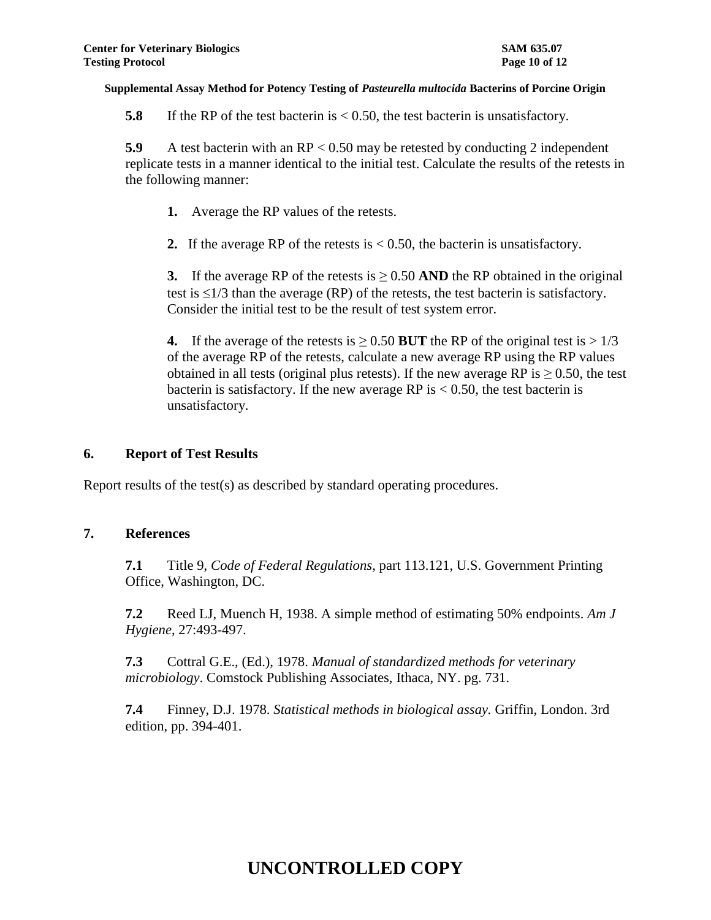**5.8** If the RP of the test bacterin is < 0.50, the test bacterin is unsatisfactory.

**5.9** A test bacterin with an RP < 0.50 may be retested by conducting 2 independent replicate tests in a manner identical to the initial test. Calculate the results of the retests in the following manner:

- **1.** Average the RP values of the retests.
- **2.** If the average RP of the retests is < 0.50, the bacterin is unsatisfactory.

**3.** If the average RP of the retests is  $\geq 0.50$  AND the RP obtained in the original test is  $\leq$ 1/3 than the average (RP) of the retests, the test bacterin is satisfactory. Consider the initial test to be the result of test system error.

**4.** If the average of the retests is  $\geq 0.50$  BUT the RP of the original test is  $> 1/3$ of the average RP of the retests, calculate a new average RP using the RP values obtained in all tests (original plus retests). If the new average RP is  $\geq$  0.50, the test bacterin is satisfactory. If the new average RP is  $< 0.50$ , the test bacterin is unsatisfactory.

## **6. Report of Test Results**

Report results of the test(s) as described by standard operating procedures.

## **7. References**

**7.1** Title 9, *Code of Federal Regulations*, part 113.121, U.S. Government Printing Office, Washington, DC.

**7.2** Reed LJ, Muench H, 1938. A simple method of estimating 50% endpoints. *Am J Hygiene*, 27:493-497.

**7.3** Cottral G.E., (Ed.), 1978. *Manual of standardized methods for veterinary microbiology*. Comstock Publishing Associates, Ithaca, NY. pg. 731.

**7.4** Finney, D.J. 1978. *Statistical methods in biological assay.* Griffin, London. 3rd edition, pp. 394-401.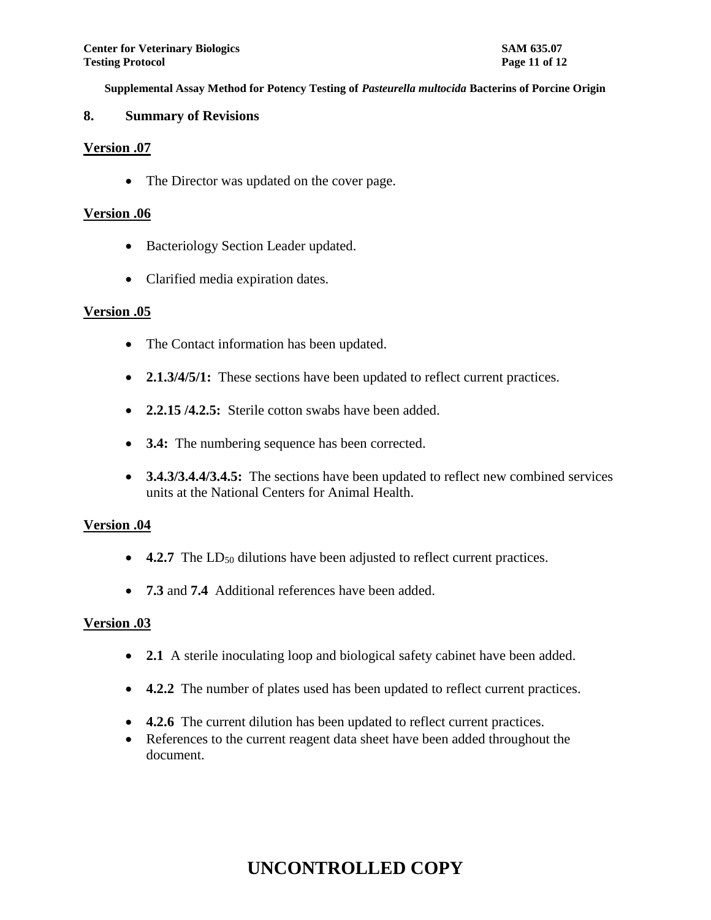#### **8. Summary of Revisions**

#### **Version .07**

• The Director was updated on the cover page.

#### **Version .06**

- Bacteriology Section Leader updated.
- Clarified media expiration dates.

#### **Version .05**

- The Contact information has been updated.
- **2.1.3/4/5/1:** These sections have been updated to reflect current practices.
- **2.2.15 /4.2.5:** Sterile cotton swabs have been added.
- **3.4:** The numbering sequence has been corrected.
- **3.4.3/3.4.4/3.4.5:** The sections have been updated to reflect new combined services units at the National Centers for Animal Health.

## **Version .04**

- 4.2.7 The LD<sub>50</sub> dilutions have been adjusted to reflect current practices.
- **7.3** and **7.4** Additional references have been added.

## **Version .03**

- **2.1** A sterile inoculating loop and biological safety cabinet have been added.
- **4.2.2** The number of plates used has been updated to reflect current practices.
- **4.2.6** The current dilution has been updated to reflect current practices.
- References to the current reagent data sheet have been added throughout the document.